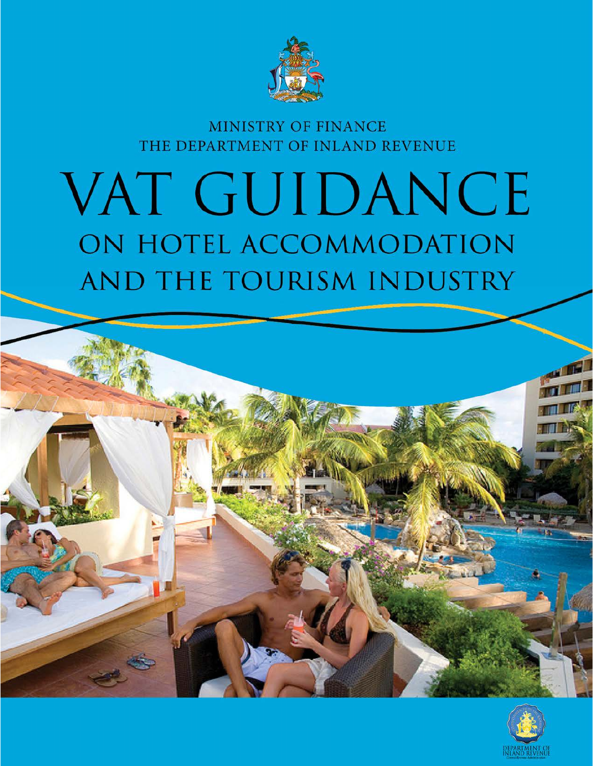

# MINISTRY OF FINANCE THE DEPARTMENT OF INLAND REVENUE

# VAT GUIDANCE ON HOTEL ACCOMMODATION AND THE TOURISM INDUSTRY

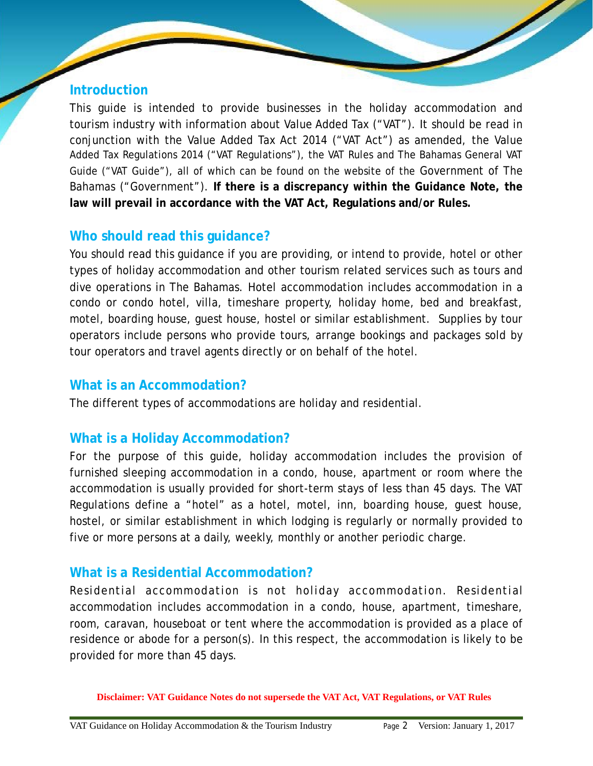#### **Introduction**

This guide is intended to provide businesses in the holiday accommodation and tourism industry with information about Value Added Tax ("VAT"). It should be read in conjunction with the Value Added Tax Act 2014 ("VAT Act") as amended, the Value Added Tax Regulations 2014 ("VAT Regulations"), the VAT Rules and The Bahamas General VAT Guide ("VAT Guide"), all of which can be found on the website of the Government of The Bahamas ("Government"). **If there is a discrepancy within the Guidance Note, the law will prevail in accordance with the VAT Act, Regulations and/or Rules.**

## **Who should read this guidance?**

You should read this guidance if you are providing, or intend to provide, hotel or other types of holiday accommodation and other tourism related services such as tours and dive operations in The Bahamas. Hotel accommodation includes accommodation in a condo or condo hotel, villa, timeshare property, holiday home, bed and breakfast, motel, boarding house, guest house, hostel or similar establishment. Supplies by tour operators include persons who provide tours, arrange bookings and packages sold by tour operators and travel agents directly or on behalf of the hotel.

#### **What is an Accommodation?**

The different types of accommodations are holiday and residential.

## **What is a Holiday Accommodation?**

For the purpose of this guide, holiday accommodation includes the provision of furnished sleeping accommodation in a condo, house, apartment or room where the accommodation is usually provided for short-term stays of less than 45 days. The VAT Regulations define a "hotel" as a hotel, motel, inn, boarding house, guest house, hostel, or similar establishment in which lodging is regularly or normally provided to five or more persons at a daily, weekly, monthly or another periodic charge.

#### **What is a Residential Accommodation?**

Residential accommodation is not holiday accommodation. Residential accommodation includes accommodation in a condo, house, apartment, timeshare, room, caravan, houseboat or tent where the accommodation is provided as a place of residence or abode for a person(s). In this respect, the accommodation is likely to be provided for more than 45 days.

**Disclaimer: VAT Guidance Notes do not supersede the VAT Act, VAT Regulations, or VAT Rules**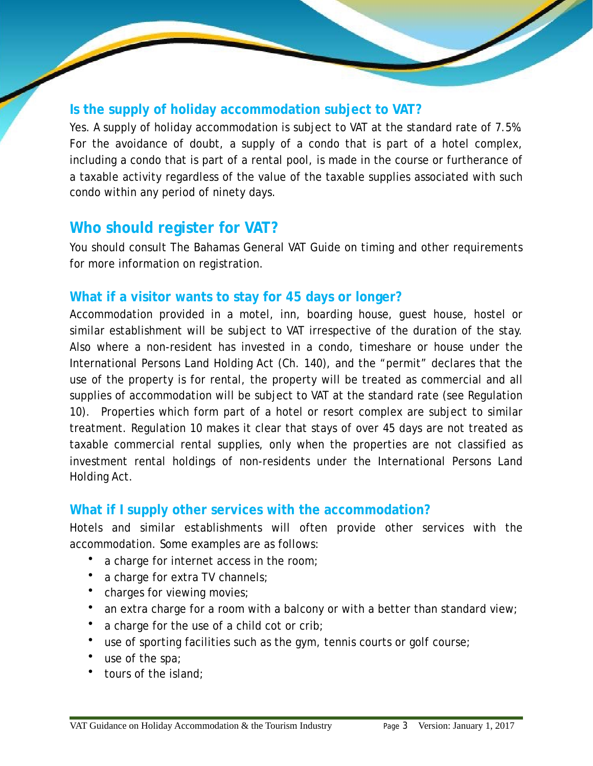#### **Is the supply of holiday accommodation subject to VAT?**

Yes. A supply of holiday accommodation is subject to VAT at the standard rate of 7.5%. For the avoidance of doubt, a supply of a condo that is part of a hotel complex, including a condo that is part of a rental pool, is made in the course or furtherance of a taxable activity regardless of the value of the taxable supplies associated with such condo within any period of ninety days.

# **Who should register for VAT?**

You should consult The Bahamas General VAT Guide on timing and other requirements for more information on registration.

## **What if a visitor wants to stay for 45 days or longer?**

Accommodation provided in a motel, inn, boarding house, guest house, hostel or similar establishment will be subject to VAT irrespective of the duration of the stay. Also where a non-resident has invested in a condo, timeshare or house under the International Persons Land Holding Act (Ch. 140), and the "permit" declares that the use of the property is for rental, the property will be treated as commercial and all supplies of accommodation will be subject to VAT at the standard rate (see Regulation 10). Properties which form part of a hotel or resort complex are subject to similar treatment. Regulation 10 makes it clear that stays of over 45 days are not treated as taxable commercial rental supplies, only when the properties are not classified as investment rental holdings of non-residents under the International Persons Land Holding Act.

#### **What if I supply other services with the accommodation?**

Hotels and similar establishments will often provide other services with the accommodation. Some examples are as follows:

- a charge for internet access in the room;
- a charge for extra TV channels;
- charges for viewing movies;
- an extra charge for a room with a balcony or with a better than standard view;
- a charge for the use of a child cot or crib;
- use of sporting facilities such as the gym, tennis courts or golf course;
- use of the spa;
- tours of the island;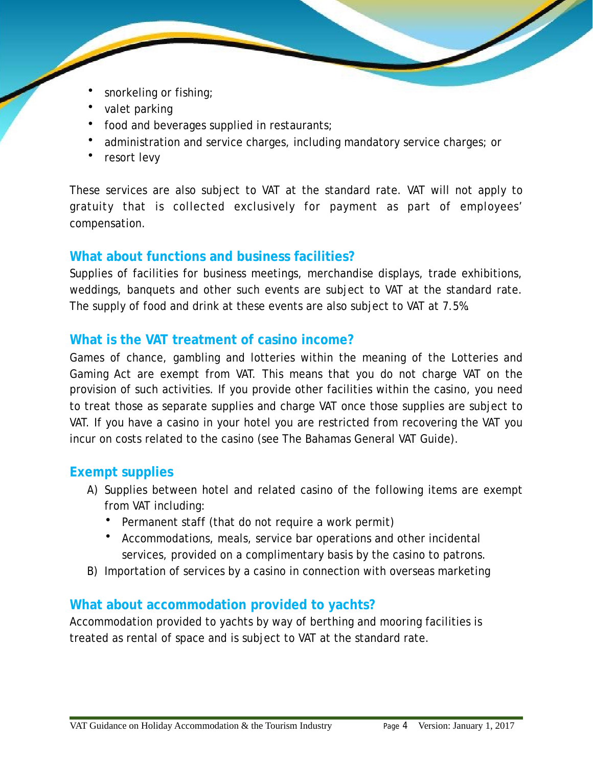- snorkeling or fishing;
- valet parking
- food and beverages supplied in restaurants;
- administration and service charges, including mandatory service charges; or
- resort levy

These services are also subject to VAT at the standard rate. VAT will not apply to gratuity that is collected exclusively for payment as part of employees' compensation.

## **What about functions and business facilities?**

Supplies of facilities for business meetings, merchandise displays, trade exhibitions, weddings, banquets and other such events are subject to VAT at the standard rate. The supply of food and drink at these events are also subject to VAT at 7.5%.

## **What is the VAT treatment of casino income?**

Games of chance, gambling and lotteries within the meaning of the Lotteries and Gaming Act are exempt from VAT. This means that you do not charge VAT on the provision of such activities. If you provide other facilities within the casino, you need to treat those as separate supplies and charge VAT once those supplies are subject to VAT. If you have a casino in your hotel you are restricted from recovering the VAT you incur on costs related to the casino (see The Bahamas General VAT Guide).

## **Exempt supplies**

- A) Supplies between hotel and related casino of the following items are exempt from VAT including:
	- Permanent staff (that do not require a work permit)
	- Accommodations, meals, service bar operations and other incidental services, provided on a complimentary basis by the casino to patrons.
- B) Importation of services by a casino in connection with overseas marketing

## **What about accommodation provided to yachts?**

Accommodation provided to yachts by way of berthing and mooring facilities is treated as rental of space and is subject to VAT at the standard rate.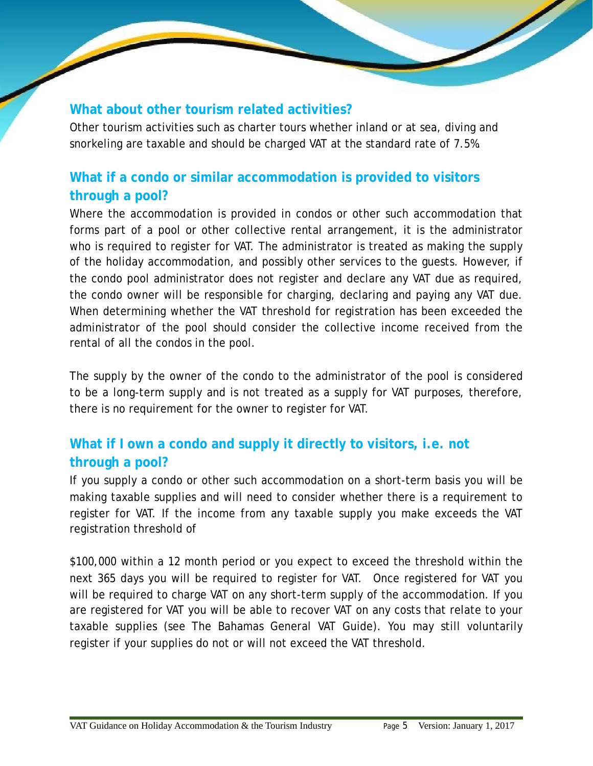## **What about other tourism related activities?**

Other tourism activities such as charter tours whether inland or at sea, diving and snorkeling are taxable and should be charged VAT at the standard rate of 7.5%.

# **What if a condo or similar accommodation is provided to visitors through a pool?**

Where the accommodation is provided in condos or other such accommodation that forms part of a pool or other collective rental arrangement, it is the administrator who is required to register for VAT. The administrator is treated as making the supply of the holiday accommodation, and possibly other services to the guests. However, if the condo pool administrator does not register and declare any VAT due as required, the condo owner will be responsible for charging, declaring and paying any VAT due. When determining whether the VAT threshold for registration has been exceeded the administrator of the pool should consider the collective income received from the rental of all the condos in the pool.

The supply by the owner of the condo to the administrator of the pool is considered to be a long-term supply and is not treated as a supply for VAT purposes, therefore, there is no requirement for the owner to register for VAT.

# **What if I own a condo and supply it directly to visitors, i.e. not through a pool?**

If you supply a condo or other such accommodation on a short-term basis you will be making taxable supplies and will need to consider whether there is a requirement to register for VAT. If the income from any taxable supply you make exceeds the VAT registration threshold of

\$100,000 within a 12 month period or you expect to exceed the threshold within the next 365 days you will be required to register for VAT. Once registered for VAT you will be required to charge VAT on any short-term supply of the accommodation. If you are registered for VAT you will be able to recover VAT on any costs that relate to your taxable supplies (see The Bahamas General VAT Guide). You may still voluntarily register if your supplies do not or will not exceed the VAT threshold.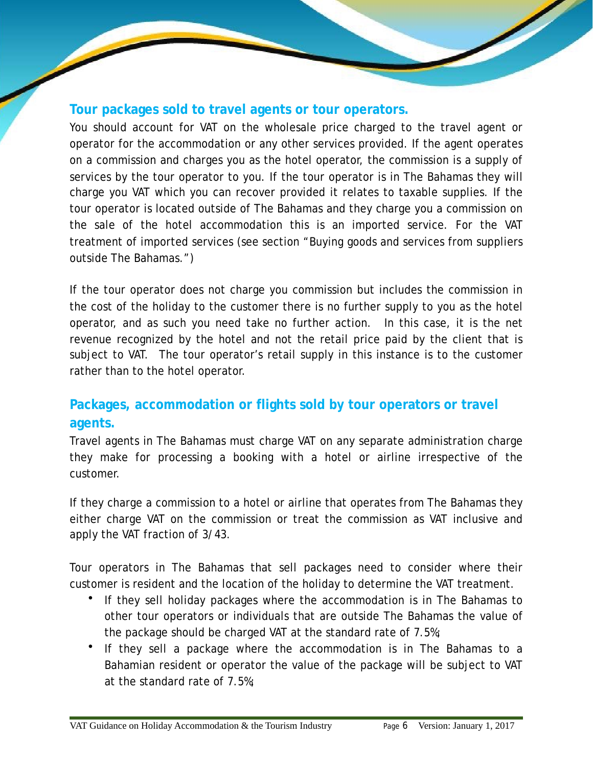#### **Tour packages sold to travel agents or tour operators.**

You should account for VAT on the wholesale price charged to the travel agent or operator for the accommodation or any other services provided. If the agent operates on a commission and charges you as the hotel operator, the commission is a supply of services by the tour operator to you. If the tour operator is in The Bahamas they will charge you VAT which you can recover provided it relates to taxable supplies. If the tour operator is located outside of The Bahamas and they charge you a commission on the sale of the hotel accommodation this is an imported service. For the VAT treatment of imported services (see section "Buying goods and services from suppliers outside The Bahamas.")

If the tour operator does not charge you commission but includes the commission in the cost of the holiday to the customer there is no further supply to you as the hotel operator, and as such you need take no further action. In this case, it is the net revenue recognized by the hotel and not the retail price paid by the client that is subject to VAT. The tour operator's retail supply in this instance is to the customer rather than to the hotel operator.

# **Packages, accommodation or flights sold by tour operators or travel agents.**

Travel agents in The Bahamas must charge VAT on any separate administration charge they make for processing a booking with a hotel or airline irrespective of the customer.

If they charge a commission to a hotel or airline that operates from The Bahamas they either charge VAT on the commission or treat the commission as VAT inclusive and apply the VAT fraction of 3/43.

Tour operators in The Bahamas that sell packages need to consider where their customer is resident and the location of the holiday to determine the VAT treatment.

- If they sell holiday packages where the accommodation is in The Bahamas to other tour operators or individuals that are outside The Bahamas the value of the package should be charged VAT at the standard rate of 7.5%;
- If they sell a package where the accommodation is in The Bahamas to a Bahamian resident or operator the value of the package will be subject to VAT at the standard rate of 7.5%;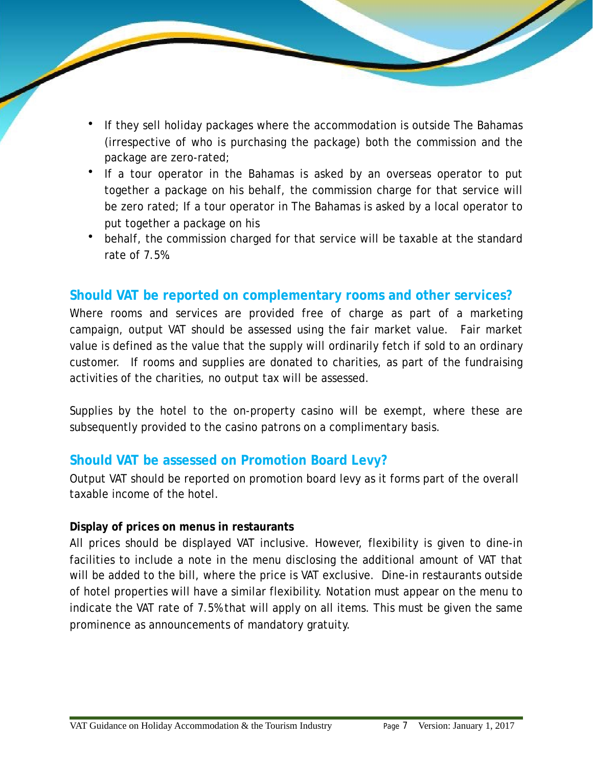- If they sell holiday packages where the accommodation is outside The Bahamas (irrespective of who is purchasing the package) both the commission and the package are zero-rated;
- If a tour operator in the Bahamas is asked by an overseas operator to put together a package on his behalf, the commission charge for that service will be zero rated; If a tour operator in The Bahamas is asked by a local operator to put together a package on his
- behalf, the commission charged for that service will be taxable at the standard rate of 7.5%.

#### **Should VAT be reported on complementary rooms and other services?**

Where rooms and services are provided free of charge as part of a marketing campaign, output VAT should be assessed using the fair market value. Fair market value is defined as the value that the supply will ordinarily fetch if sold to an ordinary customer. If rooms and supplies are donated to charities, as part of the fundraising activities of the charities, no output tax will be assessed.

Supplies by the hotel to the on-property casino will be exempt, where these are subsequently provided to the casino patrons on a complimentary basis.

#### **Should VAT be assessed on Promotion Board Levy?**

Output VAT should be reported on promotion board levy as it forms part of the overall taxable income of the hotel.

#### **Display of prices on menus in restaurants**

All prices should be displayed VAT inclusive. However, flexibility is given to dine-in facilities to include a note in the menu disclosing the additional amount of VAT that will be added to the bill, where the price is VAT exclusive. Dine-in restaurants outside of hotel properties will have a similar flexibility. Notation must appear on the menu to indicate the VAT rate of 7.5% that will apply on all items. This must be given the same prominence as announcements of mandatory gratuity.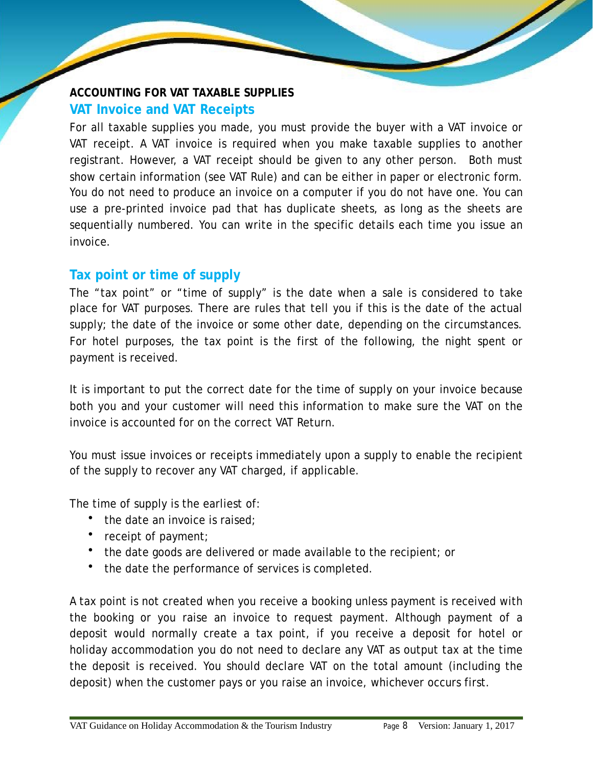## **ACCOUNTING FOR VAT TAXABLE SUPPLIES VAT Invoice and VAT Receipts**

For all taxable supplies you made, you must provide the buyer with a VAT invoice or VAT receipt. A VAT invoice is required when you make taxable supplies to another registrant. However, a VAT receipt should be given to any other person. Both must show certain information (see VAT Rule) and can be either in paper or electronic form. You do not need to produce an invoice on a computer if you do not have one. You can use a pre-printed invoice pad that has duplicate sheets, as long as the sheets are sequentially numbered. You can write in the specific details each time you issue an invoice.

## **Tax point or time of supply**

The "tax point" or "time of supply" is the date when a sale is considered to take place for VAT purposes. There are rules that tell you if this is the date of the actual supply; the date of the invoice or some other date, depending on the circumstances. For hotel purposes, the tax point is the first of the following, the night spent or payment is received.

It is important to put the correct date for the time of supply on your invoice because both you and your customer will need this information to make sure the VAT on the invoice is accounted for on the correct VAT Return.

You must issue invoices or receipts immediately upon a supply to enable the recipient of the supply to recover any VAT charged, if applicable.

The time of supply is the earliest of:

- the date an invoice is raised;
- receipt of payment;
- the date goods are delivered or made available to the recipient; or
- the date the performance of services is completed.

A tax point is not created when you receive a booking unless payment is received with the booking or you raise an invoice to request payment. Although payment of a deposit would normally create a tax point, if you receive a deposit for hotel or holiday accommodation you do not need to declare any VAT as output tax at the time the deposit is received. You should declare VAT on the total amount (including the deposit) when the customer pays or you raise an invoice, whichever occurs first.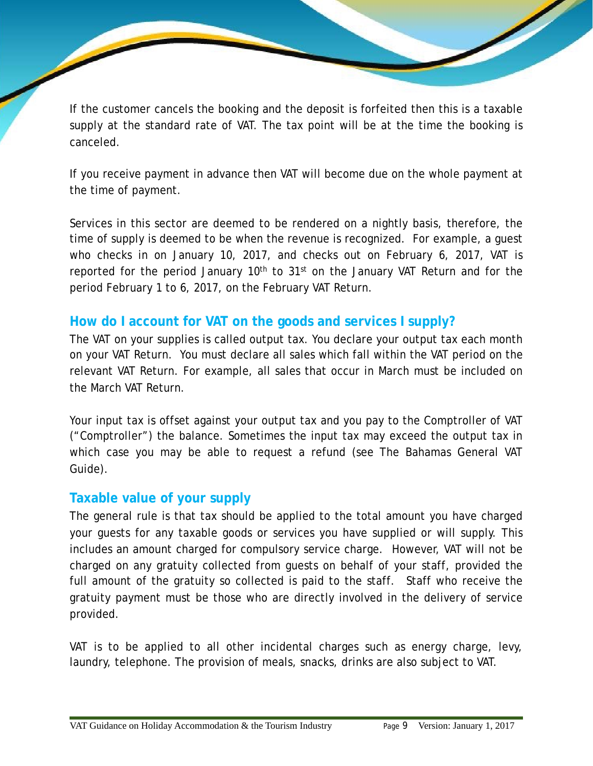If the customer cancels the booking and the deposit is forfeited then this is a taxable supply at the standard rate of VAT. The tax point will be at the time the booking is canceled.

If you receive payment in advance then VAT will become due on the whole payment at the time of payment.

Services in this sector are deemed to be rendered on a nightly basis, therefore, the time of supply is deemed to be when the revenue is recognized. For example, a guest who checks in on January 10, 2017, and checks out on February 6, 2017, VAT is reported for the period January  $10<sup>th</sup>$  to  $31<sup>st</sup>$  on the January VAT Return and for the period February 1 to 6, 2017, on the February VAT Return.

## **How do I account for VAT on the goods and services I supply?**

The VAT on your supplies is called output tax. You declare your output tax each month on your VAT Return. You must declare all sales which fall within the VAT period on the relevant VAT Return. For example, all sales that occur in March must be included on the March VAT Return.

Your input tax is offset against your output tax and you pay to the Comptroller of VAT ("Comptroller") the balance. Sometimes the input tax may exceed the output tax in which case you may be able to request a refund (see The Bahamas General VAT Guide).

## **Taxable value of your supply**

The general rule is that tax should be applied to the total amount you have charged your guests for any taxable goods or services you have supplied or will supply. This includes an amount charged for compulsory service charge. However, VAT will not be charged on any gratuity collected from guests on behalf of your staff, provided the full amount of the gratuity so collected is paid to the staff. Staff who receive the gratuity payment must be those who are directly involved in the delivery of service provided.

VAT is to be applied to all other incidental charges such as energy charge, levy, laundry, telephone. The provision of meals, snacks, drinks are also subject to VAT.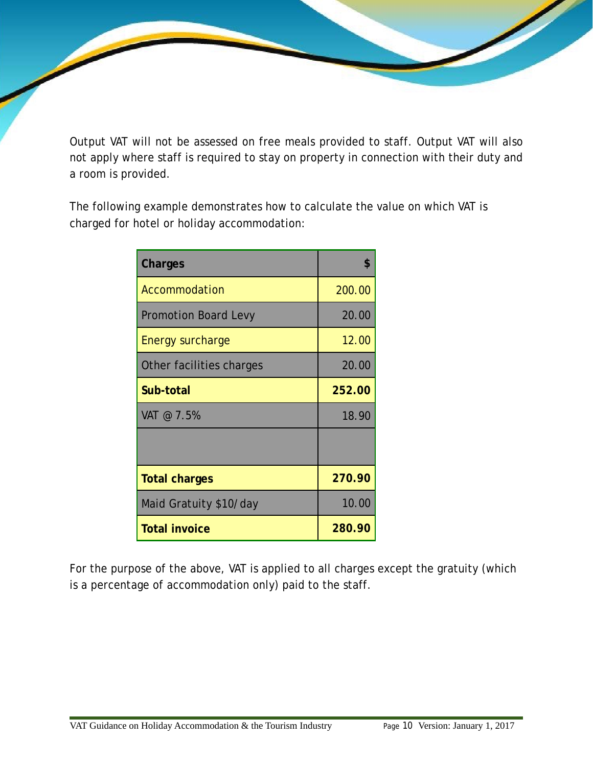Output VAT will not be assessed on free meals provided to staff. Output VAT will also not apply where staff is required to stay on property in connection with their duty and a room is provided.

The following example demonstrates how to calculate the value on which VAT is charged for hotel or holiday accommodation:

| Charges                     | \$     |
|-----------------------------|--------|
| Accommodation               | 200.00 |
| <b>Promotion Board Levy</b> | 20.00  |
| <b>Energy surcharge</b>     | 12.00  |
| Other facilities charges    | 20.00  |
| Sub-total                   | 252.00 |
| VAT @ 7.5%                  | 18.90  |
|                             |        |
| <b>Total charges</b>        | 270.90 |
| Maid Gratuity \$10/day      | 10.00  |
| <b>Total invoice</b>        | 280.90 |

For the purpose of the above, VAT is applied to all charges except the gratuity (which is a percentage of accommodation only) paid to the staff.